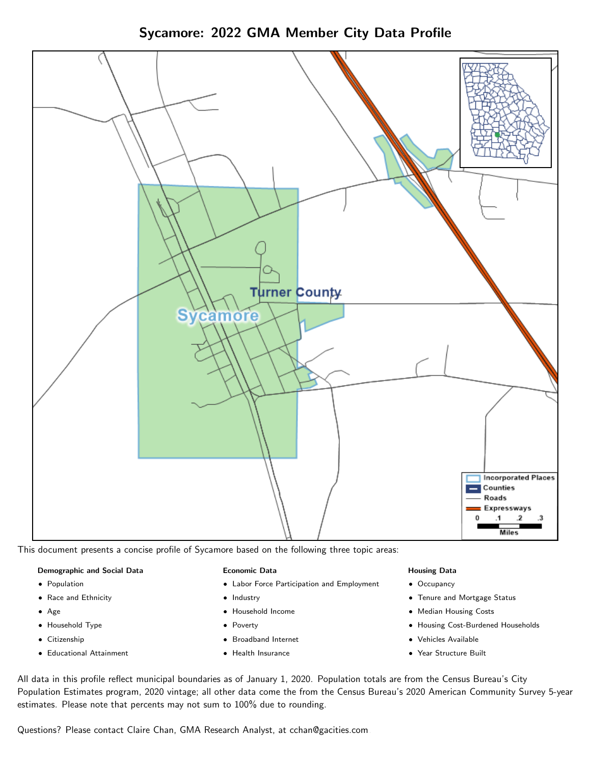Sycamore: 2022 GMA Member City Data Profile



This document presents a concise profile of Sycamore based on the following three topic areas:

#### Demographic and Social Data

- **•** Population
- Race and Ethnicity
- Age
- Household Type
- **Citizenship**
- Educational Attainment

#### Economic Data

- Labor Force Participation and Employment
- Industry
- Household Income
- Poverty
- Broadband Internet
- Health Insurance

#### Housing Data

- Occupancy
- Tenure and Mortgage Status
- Median Housing Costs
- Housing Cost-Burdened Households
- Vehicles Available
- Year Structure Built

All data in this profile reflect municipal boundaries as of January 1, 2020. Population totals are from the Census Bureau's City Population Estimates program, 2020 vintage; all other data come the from the Census Bureau's 2020 American Community Survey 5-year estimates. Please note that percents may not sum to 100% due to rounding.

Questions? Please contact Claire Chan, GMA Research Analyst, at [cchan@gacities.com.](mailto:cchan@gacities.com)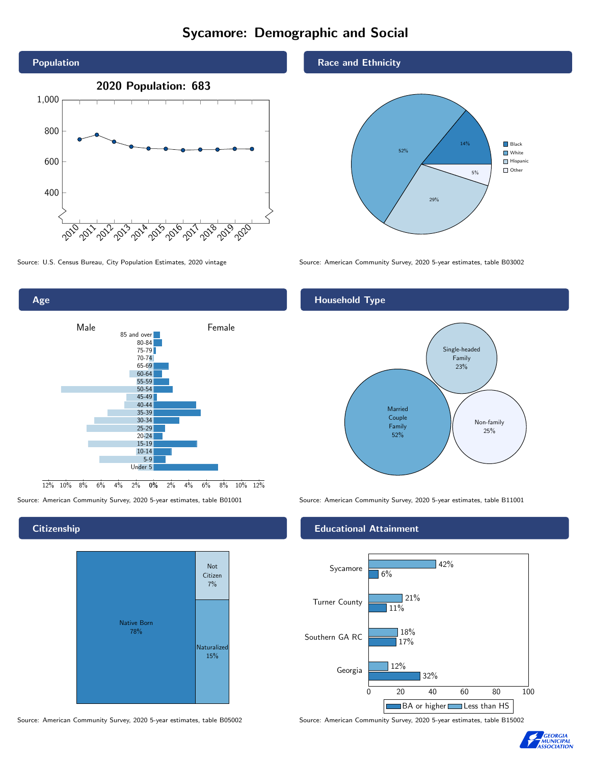# Sycamore: Demographic and Social





## **Citizenship**



Source: American Community Survey, 2020 5-year estimates, table B05002 Source: American Community Survey, 2020 5-year estimates, table B15002

## Race and Ethnicity



Source: U.S. Census Bureau, City Population Estimates, 2020 vintage Source: American Community Survey, 2020 5-year estimates, table B03002

# Household Type



Source: American Community Survey, 2020 5-year estimates, table B01001 Source: American Community Survey, 2020 5-year estimates, table B11001

## Educational Attainment



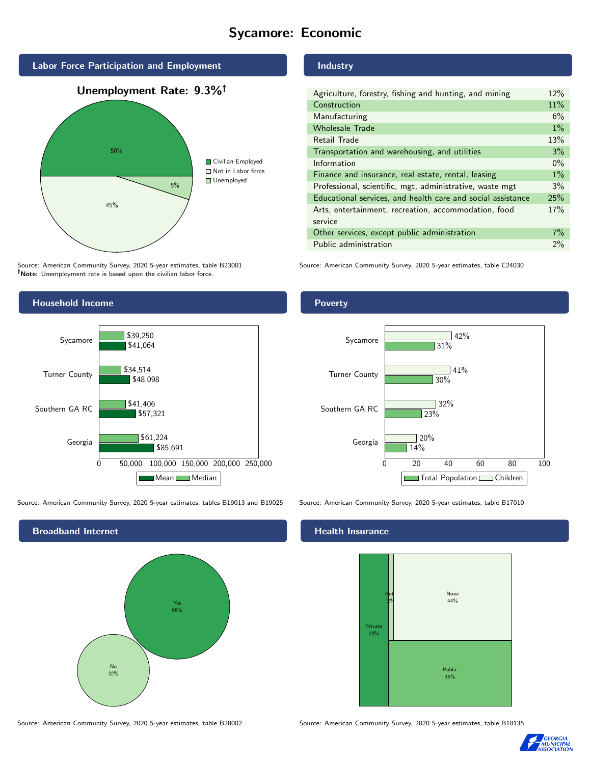# Sycamore: Economic



Source: American Community Survey, 2020 5-year estimates, table B23001 Note: Unemployment rate is based upon the civilian labor force.

# Industry

Poverty

| Agriculture, forestry, fishing and hunting, and mining      | 12%   |
|-------------------------------------------------------------|-------|
| Construction                                                | 11%   |
| Manufacturing                                               | 6%    |
| <b>Wholesale Trade</b>                                      | $1\%$ |
| Retail Trade                                                | 13%   |
| Transportation and warehousing, and utilities               | 3%    |
| Information                                                 | $0\%$ |
| Finance and insurance, real estate, rental, leasing         | $1\%$ |
| Professional, scientific, mgt, administrative, waste mgt    | 3%    |
| Educational services, and health care and social assistance | 25%   |
| Arts, entertainment, recreation, accommodation, food        | 17%   |
| service                                                     |       |
| Other services, except public administration                | $7\%$ |
| Public administration                                       | 2%    |
|                                                             |       |

Source: American Community Survey, 2020 5-year estimates, table C24030



Source: American Community Survey, 2020 5-year estimates, tables B19013 and B19025 Source: American Community Survey, 2020 5-year estimates, table B17010

Broadband Internet No 32% Yes 68%



#### Health Insurance



Source: American Community Survey, 2020 5-year estimates, table B28002 Source: American Community Survey, 2020 5-year estimates, table B18135